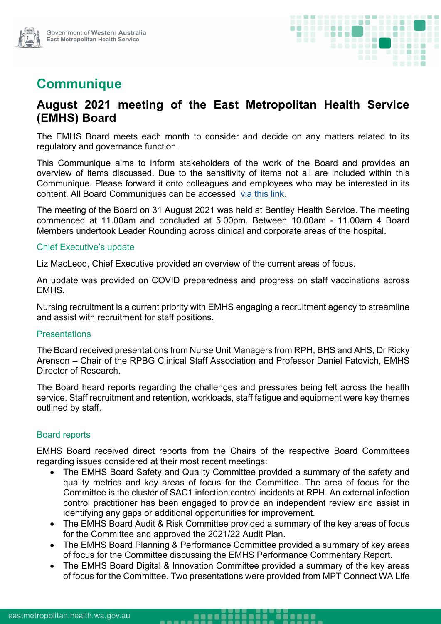

# **Communique**

## **August 2021 meeting of the East Metropolitan Health Service (EMHS) Board**

The EMHS Board meets each month to consider and decide on any matters related to its regulatory and governance function.

This Communique aims to inform stakeholders of the work of the Board and provides an overview of items discussed. Due to the sensitivity of items not all are included within this Communique. Please forward it onto colleagues and employees who may be interested in its content. All Board Communiques can be accessed [via this link.](https://emhs.health.wa.gov.au/About-Us/Health-Service-Board)

The meeting of the Board on 31 August 2021 was held at Bentley Health Service. The meeting commenced at 11.00am and concluded at 5.00pm. Between 10.00am - 11.00am 4 Board Members undertook Leader Rounding across clinical and corporate areas of the hospital.

#### Chief Executive's update

Liz MacLeod, Chief Executive provided an overview of the current areas of focus.

An update was provided on COVID preparedness and progress on staff vaccinations across EMHS.

Nursing recruitment is a current priority with EMHS engaging a recruitment agency to streamline and assist with recruitment for staff positions.

#### **Presentations**

The Board received presentations from Nurse Unit Managers from RPH, BHS and AHS, Dr Ricky Arenson – Chair of the RPBG Clinical Staff Association and Professor Daniel Fatovich, EMHS Director of Research.

The Board heard reports regarding the challenges and pressures being felt across the health service. Staff recruitment and retention, workloads, staff fatigue and equipment were key themes outlined by staff.

#### Board reports

EMHS Board received direct reports from the Chairs of the respective Board Committees regarding issues considered at their most recent meetings:

- The EMHS Board Safety and Quality Committee provided a summary of the safety and quality metrics and key areas of focus for the Committee. The area of focus for the Committee is the cluster of SAC1 infection control incidents at RPH. An external infection control practitioner has been engaged to provide an independent review and assist in identifying any gaps or additional opportunities for improvement.
- The EMHS Board Audit & Risk Committee provided a summary of the key areas of focus for the Committee and approved the 2021/22 Audit Plan.
- The EMHS Board Planning & Performance Committee provided a summary of key areas of focus for the Committee discussing the EMHS Performance Commentary Report.
- The EMHS Board Digital & Innovation Committee provided a summary of the key areas of focus for the Committee. Two presentations were provided from MPT Connect WA Life

. . . . .